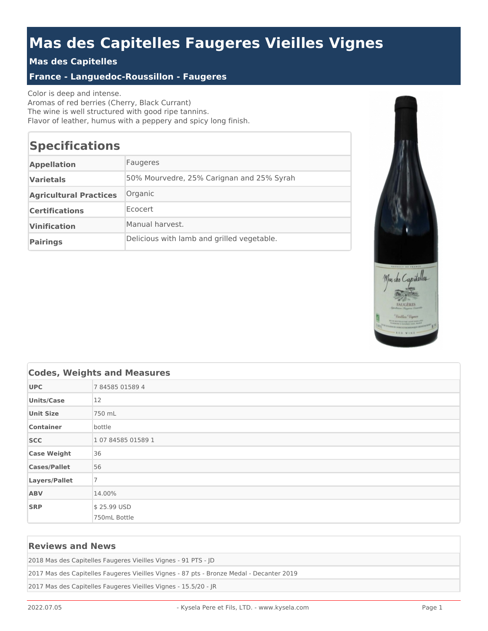# **Mas des Capitelles Faugeres Vieilles Vignes**

### **Mas des Capitelles**

#### **France - Languedoc-Roussillon - Faugeres**

Color is deep and intense. Aromas of red berries (Cherry, Black Currant) The wine is well structured with good ripe tannins. Flavor of leather, humus with a peppery and spicy long finish.

## **Specifications**

| <b>Appellation</b>            | Faugeres                                   |
|-------------------------------|--------------------------------------------|
| <b>Varietals</b>              | 50% Mourvedre, 25% Carignan and 25% Syrah  |
| <b>Agricultural Practices</b> | Organic                                    |
| <b>Certifications</b>         | Ecocert                                    |
| <b>Vinification</b>           | Manual harvest.                            |
| <b>Pairings</b>               | Delicious with lamb and grilled vegetable. |



| <b>Codes, Weights and Measures</b> |                |
|------------------------------------|----------------|
| <b>UPC</b>                         | 784585015894   |
| <b>Units/Case</b>                  | 12             |
| <b>Unit Size</b>                   | 750 mL         |
| <b>Container</b>                   | bottle         |
| <b>SCC</b>                         | 10784585015891 |
| <b>Case Weight</b>                 | 36             |
| <b>Cases/Pallet</b>                | 56             |
| Layers/Pallet                      | $\overline{7}$ |
| <b>ABV</b>                         | 14.00%         |
| <b>SRP</b>                         | \$25.99 USD    |
|                                    | 750mL Bottle   |

#### **Reviews and News**

2018 Mas des Capitelles Faugeres Vieilles Vignes - 91 PTS - JD

2017 Mas des Capitelles Faugeres Vieilles Vignes - 87 pts - Bronze Medal - Decanter 2019

2017 Mas des Capitelles Faugeres Vieilles Vignes - 15.5/20 - JR